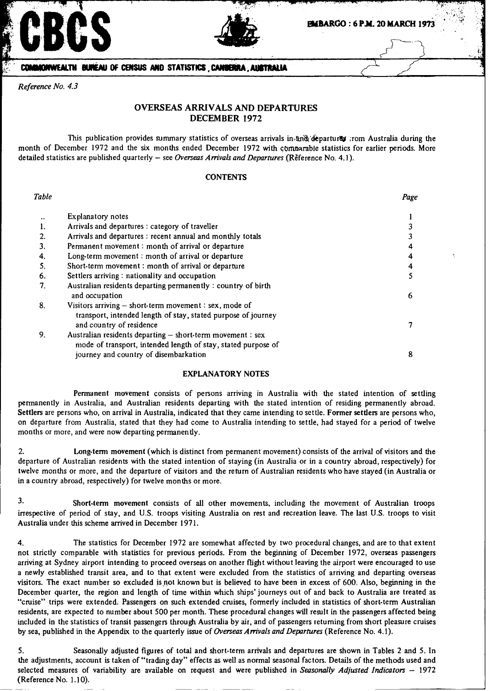



### **EBMBARGO : 6 P.M. 20 MARCH 1973**

**COMINONWEALTH BUNEAU OF CENSUS AND STATISTICS CANIDERIA AUSTRALIA** 

*Reference No. 4.3*

# **OVERSEAS ARRIVALS AND DEPARTURES DECEMBER 1972**

This publication provides summary statistics of overseas arrivals in *and departures* ;rom Australia during the month of December 1972 and the six months ended December 1972 with commarable statistics for earlier periods. More detailed statistics are published quarterly - see *Overseas Arrivals and Departures (* Reference No. 4.1).

### **CONTENTS**

| Table |                                                                                                                                                                      | Page |
|-------|----------------------------------------------------------------------------------------------------------------------------------------------------------------------|------|
|       | Explanatory notes                                                                                                                                                    |      |
|       | Arrivals and departures : category of traveller                                                                                                                      |      |
|       | Arrivals and departures : recent annual and monthly totals                                                                                                           |      |
|       | Permanent movement : month of arrival or departure                                                                                                                   |      |
| 4.    | Long-term movement : month of arrival or departure                                                                                                                   | 4    |
| 5.    | Short-term movement : month of arrival or departure                                                                                                                  | 4    |
| 6.    | Settlers arriving : nationality and occupation                                                                                                                       |      |
| 7.    | Australian residents departing permanently: country of birth<br>and occupation                                                                                       | 6    |
| 8.    | Visitors arriving $-$ short-term movement : sex, mode of<br>transport, intended length of stay, stated purpose of journey<br>and country of residence                |      |
| 9.    | Australian residents departing - short-term movement : sex<br>mode of transport, intended length of stay, stated purpose of<br>journey and country of disembarkation | 8    |

## EXPLANATORY NOTES

Permanent movement consists of persons arriving in Australia with the stated intention of settling permanently in Australia, and Australian residents departing with the stated intention of residing permanently abroad. Settlers are persons who, on arrival in Australia, indicated that they came intending to settle. Former settlers are persons who on departure from Australia, stated that they had come to Australia intending to settle, had stayed for a period of twelve months or more, and were now departing permanently.

2. Long-term movement (which is distinct from permanent movem ent) consists of the arrival of visitors and the departure of Australian residents with the stated intention of staying (in Austra lia or in a country abroad, respectively) for twelve months or more, and the departure of visitors and the return of Australian residents who have stayed (in Australia or in a country abroad, respectively) for twelve months or more.

3. Short-term movement consists of all other movements, including the movement of Australian troops irrespective of period of stay, and U.S. troops visiting Australia on rest and recreation leave. The last U.S. troops to visit Australia under this scheme arrived in December 1971.

4. The statistics for December 1972 are somewhat affected by two procedural changes, and are to that extent not strictly comparable with statistics for previous periods. From the beginning of December 1972, overseas passengers arriving at Sydney airport intending to proceed overseas on another flight without leaving the airport were encouraged to use a newly established transit area, and to that extent were excluded from the statistics of arriving and departing overseas visitors. The exact number so excluded is not known but is believed to have been in excess of 600. Also, beginning in the December quarter, the region and length of time within which ships' journeys out of and back to Australia are treated as "cruise" trips were extended. Passengers on such extended cruises, formerly included in statistics of short-term Australian residents, are expected to number about 500 per month. These procedural changes will result in the passengers affected being included in the statistics of transit passengers through Australia by air, and of passengers returning from short pleasure cruises by sea, published in the Appendix to the quarterly issue of *Overseas Arrivals and Departures* (Reference No. 4.1).

5. Seasonally adjusted figures of total and short-term arrivals and departures are shown in Tables 2 and 5. In the adjustments, account is taken of "trading day" effects as well as normal seasonal factors. Details of the methods used and selected measures of variability are available on request and were published in *Seasonally Adjusted Indicators* - 1972 (Reference No. 1.10).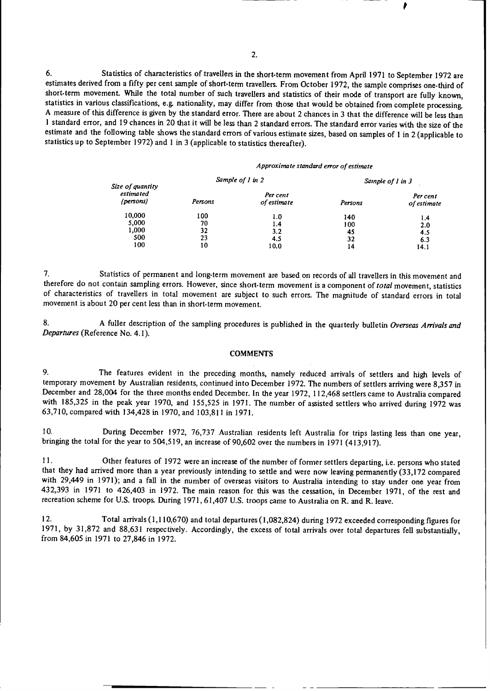6. Statistics of characteristics of travellers in the short-term movement from April 1971 to September 1972 are estimates derived from a fifty per cent sample of short-term travellers. From October 1972, the sample comprises one-third of<br>short-term movement. While the total number of such travellers and statistics of their mode of t statistics in various classifications, e.g. nationality, may differ from those that would be obtained from complete processing.<br>A measure of this difference is given by the standard error. There are about 2 chances in 3 th 1 standard error, and 19 chances in 20 that it will be less than 2 standard errors. The standard error varies with the size of the estimate and the following table shows the standard errors of various estimate sizes, based on samples of 1 in 2 (applicable to statistics up to September 1972) and 1 in 3 (applicable to statistics thereafter).

#### Approximate standard error of estimate

| Size of quantity       |         | Sample of 1 in 2        | Sample of 1 in 3 |                         |  |
|------------------------|---------|-------------------------|------------------|-------------------------|--|
| estimated<br>(persons) | Persons | Per cent<br>of estimate | Persons          | Per cent<br>of estimate |  |
| 10,000                 | 100     | 1.0                     | 140              | 1.4                     |  |
| 5,000                  | 70      | 1.4                     | 100              | 2.0                     |  |
| 1,000                  | 32      | 3.2                     | 45               | 4.5                     |  |
| 500                    | 23      | 4.5                     | 32               | 6.3                     |  |
| 100                    | 10      | 10.0                    | 14               | 14.1                    |  |

7. Statistics of permanent and long-term movement are based on records of all travellers in this movement and therefore do not contain sampling errors. However, since short-term movement is a component *of total* movement, statistics of characteristics of travellers in total movement are subject to such errors. The magnitude of standard errors in total movement is about 20 per cent less than in short-term movement.

8. A fuller description of the sampling procedures is published in the quarterly bulletin *Overseas Arrivals and Departures* (Reference No. 4.1).

### **COMMENTS**

9. The features evident in the preceding months, namely reduced arrivals of settlers and high levels of temporary movement by Australian residents, continued into December 1972. The numbers of settlers arriving were 8,357 in December and 28,004 for the three months ended December. In the year 1972, 112,468 settlers came to Australia compared with 185,325 in the peak year 1970, and 155,525 in 1971. The number of assisted settlers who arrived during 1972 was 63,710, compared with 134,428 in 1970, and 103,811 in 1971.

10. During December 1972, 76,737 Australian residents left Australia for trips lasting less than one year, bringing the total for the year to 504,519, an increase of 90,602 over the numbers in 1971 (413,917).

11. Other features of 1972 were **an increase** of the number of former settlers departing, **i.e. persons** who stated that they had arrived more than a year previously intending to settle and were now leaving permanently (33,172 compared with 29,449 in 1971); and a fall in the number of overseas visitors to Australia intending to stay und 432,393 in 1971 to 426,403 in 1972. The main reason for this was the cessation, in December 1971, of the rest and recreation scheme for U.S. troops. During 1971,61,407 U.S. troops came to Australia on R. and R. leave.

12. Total arrivals(1,110,670) and total departures(l1,082,824) during 1972 exceeded corresponding figures for 1971, by 31,872 and 88,631 respectively. Accordingly, the excess of total arrivals over total departures fell substantially, from 84,605 in 1971 to 27,846 in 1972.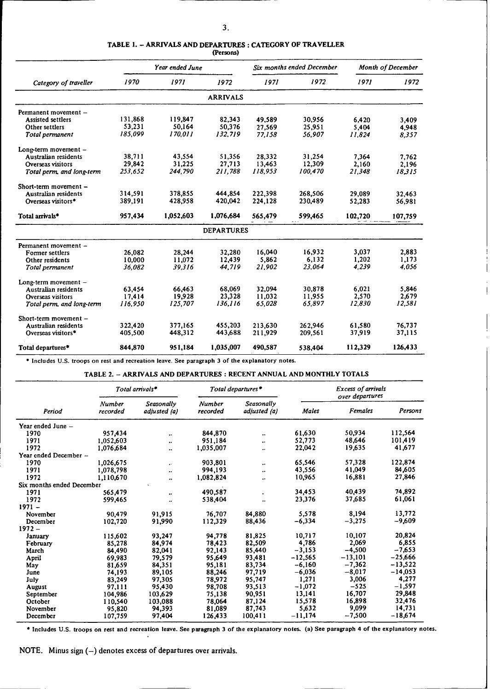#### **TABLE 1.** - **ARRIVALS AND DEPARTURES** : **CATEGORY OF TRAVELLER (Persons)**

|                             |         | Year ended June |                   |         | Six months ended December |         | <b>Month of December</b> |
|-----------------------------|---------|-----------------|-------------------|---------|---------------------------|---------|--------------------------|
| Category of traveller       | 1970    | 1971            | 1972              | 1971    | 1972                      | 1971    | 1972                     |
|                             |         |                 | <b>ARRIVALS</b>   |         |                           |         |                          |
| Permanent movement -        |         |                 |                   |         |                           |         |                          |
| <b>Assisted settlers</b>    | 131,868 | 119,847         | 82,343            | 49.589  | 30,956                    | 6,420   | 3,409                    |
| Other settlers              | 53,231  | 50,164          | 50,376            | 27.569  | 25,951                    | 5.404   | 4,948                    |
| Total permanent             | 185.099 | 170.011         | 132.719           | 77.158  | 56,907                    | 11.824  | 8,357                    |
| Long-term movement -        |         |                 |                   |         |                           |         |                          |
| Australian residents        | 38,711  | 43,554          | 51,356            | 28,332  | 31,254                    | 7,364   | 7.762                    |
| Overseas visitors           | 29,842  | 31,225          | 27,713            | 13,463  | 12,309                    | 2,160   | 2,196                    |
| Total perm, and long-term   | 253,652 | 244,790         | 211,788           | 118.953 | 100,470                   | 21.348  | 18315                    |
| Short-term movement $-$     |         |                 |                   |         |                           |         |                          |
| Australian residents        | 314,591 | 378,855         | 444,854           | 222.398 | 268,506                   | 29,089  | 32.463                   |
| Overseas visitors*          | 389,191 | 428,958         | 420,042           | 224.128 | 230,489                   | 52,283  | 56,981                   |
| Total arrivals <sup>*</sup> | 957,434 | 1,052,603       | 1,076,684         | 565,479 | 599,465                   | 102,720 | 107,759                  |
|                             |         |                 | <b>DEPARTURES</b> |         |                           |         |                          |
| Permanent movement -        |         |                 |                   |         |                           |         |                          |
| Former settlers             | 26,082  | 28,244          | 32,280            | 16,040  | 16,932                    | 3,037   | 2,883                    |
| Other residents             | 10,000  | 11,072          | 12,439            | 5,862   | 6.132                     | 1,202   | 1.173                    |
| Total permanent             | 36,082  | 39.316          | 44,719            | 21.902  | 23.064                    | 4.239   | 4.056                    |
| Long-term movement -        |         |                 |                   |         |                           |         |                          |
| Australian residents        | 63,454  | 66,463          | 68.069            | 32.094  | 30.878                    | 6.021   | 5.846                    |
| Overseas visitors           | 17,414  | 19,928          | 23,328            | 11.032  | 11,955                    | 2,570   | 2,679                    |
| Total perm. and long-term   | 116.950 | 125,707         | 136,116           | 65.028  | 65.897                    | 12.830  | 12.581                   |
| Short-term movement -       |         |                 |                   |         |                           |         |                          |
| Australian residents        | 322.420 | 377.165         | 455,203           | 213.630 | 262.946                   | 61.580  | 76.737                   |
| Overseas visitors*          | 405,500 | 448,312         | 443,688           | 211,929 | 209,561                   | 37,919  | 37,115                   |
| Total departures*           | 844,870 | 951,184         | 1,035,007         | 490.587 | 538.404                   | 112,329 | 126,433                  |

**\* Includes U.S. troops on rest and recreation leave. See paragraph** 3 **of the explanatory notes.**

TABLE 2. - ARRIVALS AND DEPARTURES : RECENT ANNUAL AND **MONTHLY TOTALS**

|                           |                           | Total arrivals*            |                           | Total departures*                 |           | <b>Excess of arrivals</b><br>over departures |           |
|---------------------------|---------------------------|----------------------------|---------------------------|-----------------------------------|-----------|----------------------------------------------|-----------|
| Period                    | <b>Number</b><br>recorded | Seasonally<br>adjusted (a) | <b>Number</b><br>recorded | <b>Seasonally</b><br>adjusted (a) | Males     | <b>Females</b>                               | Persons   |
| Year ended June -         |                           |                            |                           |                                   |           |                                              |           |
| 1970                      | 957,434                   |                            | 844,870                   | $\bullet\bullet$                  | 61,630    | 50,934                                       | 112,564   |
| 1971                      | 1,052,603                 | ٠.                         | 951,184                   | $\ddot{\phantom{1}}$              | 52,773    | 48,646                                       | 101,419   |
| 1972                      | 1,076,684                 | $\ddot{\phantom{0}}$       | 1,035,007                 | $\ddotsc$                         | 22,042    | 19,635                                       | 41,677    |
| Year ended December -     |                           |                            |                           |                                   |           |                                              |           |
| 1970                      | 1,026,675                 | $\ddotsc$                  | 903,801                   | $\bullet\,\bullet$                | 65,546    | 57,328                                       | 122,874   |
| 1971                      | 1,078,798                 |                            | 994,193                   | $\ddot{\phantom{0}}$              | 43,556    | 41,049                                       | 84,605    |
| 1972                      | 1,110,670                 |                            | 1,082,824                 | ٠.                                | 10,965    | 16,881                                       | 27,846    |
| Six months ended December |                           |                            |                           |                                   |           |                                              |           |
| 1971                      | 565,479                   | ٠.                         | 490,587                   |                                   | 34,453    | 40,439                                       | 74,892    |
| 1972                      | 599,465                   | $\bullet\bullet$           | 538,404                   | $\ddot{\phantom{0}}$              | 23,376    | 37,685                                       | 61,061    |
| $1971 -$                  |                           |                            |                           |                                   |           |                                              |           |
| November                  | 90.479                    | 91,915                     | 76,707                    | 84,880                            | 5,578     | 8,194                                        | 13,772    |
| December                  | 102,720                   | 91,990                     | 112,329                   | 88,436                            | $-6,334$  | $-3,275$                                     | $-9,609$  |
| $1972 -$                  |                           |                            |                           |                                   |           |                                              |           |
| January                   | 115,602                   | 93,247                     | 94,778                    | 81,825                            | 10,717    | 10,107                                       | 20,824    |
| February                  | 85,278                    | 84,974                     | 78,423                    | 82,509                            | 4,786     | 2,069                                        | 6,855     |
| March                     | 84,490                    | 82,041                     | 92,143                    | 85,440                            | $-3,153$  | $-4,500$                                     | $-7,653$  |
| April                     | 69,983                    | 79,579                     | 95,649                    | 93,481                            | $-12,565$ | $-13,101$                                    | $-25,666$ |
| May                       | 81,659                    | 84,351                     | 95,181                    | 83,734                            | $-6,160$  | $-7,362$                                     | $-13,522$ |
| June                      | 74,193                    | 89,105                     | 88,246                    | 97,719                            | $-6,036$  | $-8,017$                                     | $-14,053$ |
| July                      | 83,249                    | 97,305                     | 78,972                    | 95,747                            | 1,271     | 3,006                                        | 4,277     |
| <b>August</b>             | 97,111                    | 95,430                     | 98,708                    | 93,513                            | $-1,072$  | $-525$                                       | $-1,597$  |
| September                 | 104,986                   | 103,629                    | 75,138                    | 90,951                            | 13,141    | 16,707                                       | 29,848    |
| October                   | 110,540                   | 103,088                    | 78,064                    | 87,124                            | 15,578    | 16,898                                       | 32,476    |
| November                  | 95,820                    | 94,393                     | 81,089                    | 87,743                            | 5,632     | 9,099                                        | 14,731    |
| December                  | 107,759                   | 97,404                     | 126,433                   | 100,411                           | $-11,174$ | $-7,500$                                     | $-18,674$ |

**\*** Includes U.S. troops on rest **and** recreation leave. See **paragraph** 3 **of** the explanatory notes. **(a) See** paragraph 4 **of** the explanatory notes.

NOTE. Minus sign (-) denotes excess of departures over arrivals.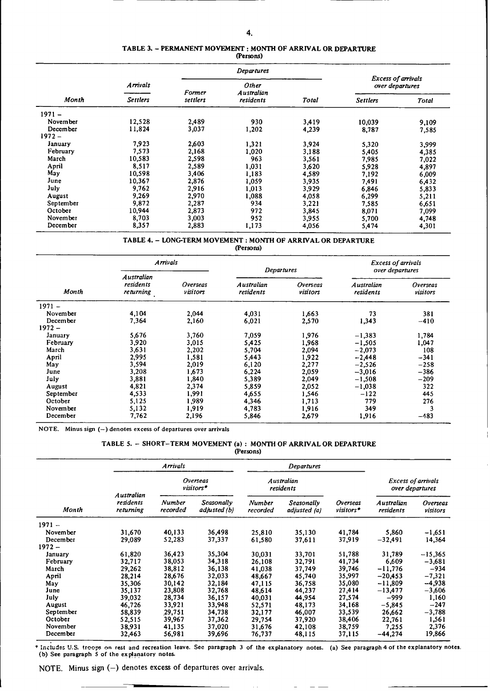## **TABLE 3.** - **PERMANENT MOVEMENT : MONTH OF ARRIVAL OR DEPARTURE**

|           |                 |          | Departures          |       |                                              |       |
|-----------|-----------------|----------|---------------------|-------|----------------------------------------------|-------|
|           | <b>Arrivals</b> | Former   | Other<br>Australian |       | <b>Excess of arrivals</b><br>over departures |       |
| Month     | <b>Settlers</b> | settlers | residents           | Total | <b>Settlers</b>                              | Total |
| $1971 -$  |                 |          |                     |       |                                              |       |
| November  | 12,528          | 2,489    | 930                 | 3,419 | 10,039                                       | 9,109 |
| December  | 11,824          | 3,037    | 1,202               | 4,239 | 8,787                                        | 7,585 |
| $1972 -$  |                 |          |                     |       |                                              |       |
| Januarv   | 7,923           | 2,603    | 1,321               | 3,924 | 5,320                                        | 3,999 |
| February  | 7,573           | 2,168    | 1,020               | 3,188 | 5,405                                        | 4,385 |
| March     | 10,583          | 2,598    | 963                 | 3,561 | 7,985                                        | 7,022 |
| April     | 8,517           | 2,589    | 1,031               | 3,620 | 5.928                                        | 4,897 |
| May       | 10,598          | 3,406    | 1,183               | 4,589 | 7,192                                        | 6,009 |
| June      | 10,367          | 2,876    | 1,059               | 3,935 | 7,491                                        | 6,432 |
| July      | 9,762           | 2,916    | 1,013               | 3,929 | 6,846                                        | 5,833 |
| August    | 9,269           | 2,970    | 1,088               | 4,058 | 6,299                                        | 5,211 |
| September | 9,872           | 2,287    | 934                 | 3,221 | 7,585                                        | 6,651 |
| October   | 10,944          | 2,873    | 972                 | 3,845 | 8,071                                        | 7,099 |
| November  | 8,703           | 3,003    | 952                 | 3,955 | 5,700                                        | 4,748 |
| December  | 8,357           | 2,883    | 1,173               | 4,056 | 5,474                                        | 4,301 |

**TABLE** 4. - **LONG-TERM MOVEMENT : MONTH OF ARRIVAL OR** DEPARTURE

**(Persons)**

|           | <b>Arrivals</b>                      |                             | <b>Departures</b>       |                      | <b>Excess of arrivals</b><br>over departures |                      |  |
|-----------|--------------------------------------|-----------------------------|-------------------------|----------------------|----------------------------------------------|----------------------|--|
| Month     | Australian<br>residents<br>returning | <b>Overseas</b><br>visitors | Australian<br>residents | Overseas<br>visitors | Australian<br>residents                      | Overseas<br>visitors |  |
| $1971 -$  |                                      |                             |                         |                      |                                              |                      |  |
| November  | 4,104                                | 2,044                       | 4,031                   | 1,663                | 73                                           | 381                  |  |
| December  | 7,364                                | 2,160                       | 6,021                   | 2,570                | 1,343                                        | $-410$               |  |
| $1972 -$  |                                      |                             |                         |                      |                                              |                      |  |
| January   | 5,676                                | 3,760                       | 7,059                   | 1,976                | $-1,383$                                     | 1,784                |  |
| February  | 3,920                                | 3,015                       | 5,425                   | 1,968                | $-1,505$                                     | 1,047                |  |
| March     | 3,631                                | 2,202                       | 5,704                   | 2,094                | $-2,073$                                     | 108                  |  |
| April     | 2,995                                | 1,581                       | 5,443                   | 1,922                | $-2,448$                                     | $-341$               |  |
| May       | 3,594                                | 2,019                       | 6,120                   | 2,277                | $-2,526$                                     | $-258$               |  |
| June      | 3,208                                | 1,673                       | 6,224                   | 2,059                | $-3,016$                                     | $-386$               |  |
| July      | 3,881                                | 1,840                       | 5,389                   | 2,049                | $-1,508$                                     | $-209$               |  |
| August    | 4,821                                | 2,374                       | 5,859                   | 2,052                | $-1,038$                                     | 322                  |  |
| September | 4,533                                | 1,991                       | 4,655                   | 1,546                | $-122$                                       | 445                  |  |
| October   | 5,125                                | 1,989                       | 4,346                   | 1,713                | 779                                          | 276                  |  |
| November  | 5,132                                | 1,919                       | 4,783                   | 1,916                | 349                                          | 3                    |  |
| December  | 7,762                                | 2,196                       | 5,846                   | 2,679                | 1,916                                        | $-483$               |  |

NOTE. Minus sign (-) denotes excess of departures over arrivals

### TABLE **5.** - SHORT-TERM MOVEMENT (a) : MONTH **OF** ARRIVAL OR DEPARTURE

|           |                                     |                           |                            | (Persons)                 |                            |                                              |                                |                             |
|-----------|-------------------------------------|---------------------------|----------------------------|---------------------------|----------------------------|----------------------------------------------|--------------------------------|-----------------------------|
|           |                                     | Arrivals                  |                            |                           | Departures                 |                                              |                                |                             |
|           | Overseas<br>visitors*<br>Australian |                           | Australian<br>residents    |                           |                            | <b>Excess of arrivals</b><br>over departures |                                |                             |
| Month     | residents<br>returning              | <b>Number</b><br>recorded | Seasonally<br>adjusted (b) | <b>Number</b><br>recorded | Seasonally<br>adjusted (a) | Overseas<br>visitors*                        | <b>Australian</b><br>residents | <b>Overseas</b><br>visitors |
| $1971 -$  |                                     |                           |                            |                           |                            |                                              |                                |                             |
| November  | 31,670                              | 40,133                    | 36,498                     | 25,810                    | 35,130                     | 41,784                                       | 5,860                          | $-1,651$                    |
| December  | 29,089                              | 52,283                    | 37,337                     | 61,580                    | 37,611                     | 37,919                                       | $-32,491$                      | 14,364                      |
| $1972 -$  |                                     |                           |                            |                           |                            |                                              |                                |                             |
| January   | 61,820                              | 36,423                    | 35,304                     | 30,031                    | 33,701                     | 51,788                                       | 31,789                         | $-15,365$                   |
| February  | 32,717                              | 38,053                    | 34,318                     | 26,108                    | 32,791                     | 41,734                                       | 6,609                          | $-3,681$                    |
| March     | 29,262                              | 38,812                    | 36,138                     | 41,038                    | 37,749                     | 39,746                                       | $-11,776$                      | $-934$                      |
| April     | 28,214                              | 28,676                    | 32,033                     | 48,667                    | 45,740                     | 35,997                                       | $-20,453$                      | $-7,321$                    |
| May       | 35,306                              | 30,142                    | 32,184                     | 47,115                    | 36,758                     | 35,080                                       | $-11,809$                      | -4,938                      |
| June      | 35,137                              | 23,808                    | 32,768                     | 48,614                    | 44,237                     | 27,414                                       | $-13,477$                      | $-3,606$                    |
| July      | 39,032                              | 28,734                    | 36,157                     | 40,031                    | 44,954                     | 27,574                                       | -999                           | 1,160                       |
| August    | 46,726                              | 33,921                    | 33,948                     | 52,571                    | 48,173                     | 34,168                                       | $-5,845$                       | -247                        |
| September | 58,839                              | 29,751                    | 34,738                     | 32,177                    | 46,007                     | 33,539                                       | 26,662                         | $-3,788$                    |
| October   | 52,515                              | 39,967                    | 37,362                     | 29,754                    | 37,920                     | 38,406                                       | 22,761                         | 1,561                       |
| November  | 38,931                              | 41,135                    | 37,020                     | 31,676                    | 42,108                     | 38,759                                       | 7,255                          | 2,376                       |
| December  | 32,463                              | 56,981                    | 39,696                     | 76,737                    | 48,115                     | 37,115                                       | $-44,274$                      | 19,866                      |

**\*** Includes U.S. troops **on rest and recreation leave. See paragraph 3 of the explanatory notes. (a) See paragraph** 4 **of the explanatory notes. (b) See paragraph 5 of the explanatory notes.**

 $\ddot{\phantom{0}}$ 

NOTE. Minus sign (-) denotes excess of departures over arrivals.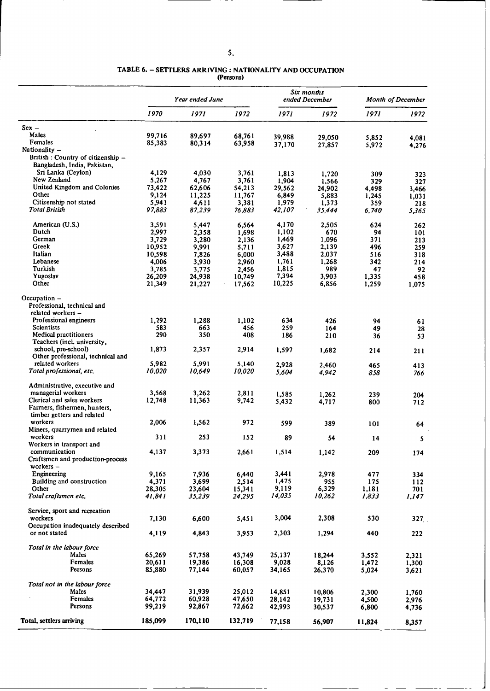**TABLE 6.** - **SETTLERS ARRIVING : NATIONALITY AND OCCUPATION**

**(Persons)**

|                                                                  |                 | Year ended June |                 |                | Six months<br>ended December | Month of December |            |
|------------------------------------------------------------------|-----------------|-----------------|-----------------|----------------|------------------------------|-------------------|------------|
|                                                                  | 1970            | 1971            | 1972            | 1971           | 1972                         | 1971              | 1972       |
| $Sex -$                                                          |                 |                 |                 |                |                              |                   |            |
| Males                                                            | 99,716          | 89,697          | 68,761          | 39,988         | 29,050                       | 5,852             | 4,081      |
| Females                                                          | 85,383          | 80,314          | 63,958          | 37,170         | 27,857                       | 5,972             | 4,276      |
| Nationality $-$                                                  |                 |                 |                 |                |                              |                   |            |
| British : Country of citizenship -                               |                 |                 |                 |                |                              |                   |            |
| Bangladesh, India, Pakistan,<br>Sri Lanka (Ceylon)               | 4,129           | 4,030           | 3,761           |                |                              |                   |            |
| New Zealand                                                      | 5,267           | 4,767           | 3,761           | 1,813<br>1,904 | 1,720<br>1,566               | 309<br>329        | 323<br>327 |
| United Kingdom and Colonies                                      | 73,422          | 62,606          | 54,213          | 29,562         | 24,902                       | 4,498             | 3,466      |
| Other                                                            | 9,124           | 11,225          | 11,767          | 6,849          | 5,883                        | 1,245             | 1,031      |
| Citizenship not stated                                           | 5,941           | 4,611           | 3,381           | 1,979          | 1,373                        | 359               | 218        |
| Total British                                                    | 97,883          | 87,239          | 76,883          | 42,107         | 35,444                       | 6,740             | 5,365      |
| American (U.S.)                                                  | 3,591           | 5,447           | 6,564           | 4,170          | 2,505                        | 624               | 262        |
| Dutch                                                            | 2,997           | 2,358           | 1,698           | 1,102          | 670                          | 94                | 101        |
| German                                                           | 3,729           | 3,280           | 2,136           | 1,469          | 1,096                        | 371               | 213        |
| Greek                                                            | 10,952          | 9,991           | 5,711           | 3,627          | 2,139                        | 496               | 259        |
| Italian                                                          | 10,598          | 7,826           | 6,000           | 3,488          | 2,037                        | 516               | 318        |
| Lebanese                                                         | 4,006           | 3,930           | 2,960           | 1,761          | 1,268                        | 342               | 214        |
| Turkish<br>Yugoslav                                              | 3,785<br>26,209 | 3,775<br>24,938 | 2,456<br>10,749 | 1,815<br>7,394 | 989<br>3,903                 | 47<br>1,335       | 92<br>458  |
| Other                                                            | 21,349          | 21,227          | 17,562          | 10,225         | 6,856                        | 1,259             | 1,075      |
| Occupation -<br>Professional, technical and<br>related workers - |                 |                 |                 |                |                              |                   |            |
| Professional engineers                                           | 1,292           | 1,288           | 1,102           | 634            | 426                          | 94                |            |
| Scientists                                                       | 583             | 663             | 456             | 259            | 164                          | 49                | 61<br>28   |
| <b>Medical practitioners</b>                                     | 290             | 350             | 408             | 186            | 210                          | 36                | 53         |
| Teachers (incl. university,                                      |                 |                 |                 |                |                              |                   |            |
| school, pre-school)                                              | 1,873           | 2,357           | 2,914           | 1,597          | 1,682                        | 214               | 211        |
| Other professional, technical and<br>related workers             |                 |                 |                 |                |                              |                   |            |
| Total professional, etc.                                         | 5,982<br>10,020 | 5,991<br>10,649 | 5,140<br>10,020 | 2,928<br>5,604 | 2.460                        | 465               | 413        |
|                                                                  |                 |                 |                 |                | 4,942                        | 858               | 766        |
| Administrative, executive and                                    |                 |                 |                 |                |                              |                   |            |
| managerial workers<br>Clerical and sales workers                 | 3,568<br>12,748 | 3,262<br>11,363 | 2,811<br>9,742  | 1,585          | 1,262                        | 239               | 204        |
| Farmers, fishermen, hunters,                                     |                 |                 |                 | 5,432          | 4,717                        | 800               | 712        |
| timber getters and related                                       |                 |                 |                 |                |                              |                   |            |
| workers                                                          | 2,006           | 1,562           | 972             | 599            | 389                          | 101               | 64         |
| Miners, quarrymen and related                                    |                 |                 |                 |                |                              |                   |            |
| workers                                                          | 311             | 253             | 152             | 89             | 54                           | 14                | 5          |
| Workers in transport and                                         |                 |                 |                 |                |                              |                   |            |
| communication<br>Craftsmen and production-process                | 4,137           | 3,373           | 2,661           | 1,514          | 1,142                        | 209               | 174        |
| workers $-$                                                      |                 |                 |                 |                |                              |                   |            |
| Engineering                                                      | 9,165           | 7.936           | 6,440           | 3,441          | 2,978                        | 477               | 334        |
| Building and construction                                        | 4,371           | 3,699           | 2,514           | 1,475          | 955                          | 175               | 112        |
| Other                                                            | 28,305          | 23,604          | 15,341          | 9,119          | 6,329                        | 1,181             | 701        |
| Total craftsmen etc.                                             | 41,841          | 35,239          | 24,295          | 14,035         | 10,262                       | 1,833             | 1,147      |
| Service, sport and recreation                                    |                 |                 |                 |                |                              |                   |            |
| workers                                                          | 7,130           | 6,600           | 5,451           | 3,004          | 2,308                        | 530               | 327        |
| Occupation inadequately described                                |                 |                 |                 |                |                              |                   |            |
| or not stated                                                    | 4,119           | 4,843           | 3,953           | 2,303          | 1,294                        | 440               | 222        |
| Total in the labour force                                        |                 |                 |                 |                |                              |                   |            |
| Males                                                            | 65.269          | 57,758          | 43,749          | 25.137         | 18,244                       | 3,552             | 2,321      |
| Females                                                          | 20,611          | 19,386          | 16,308          | 9,028          | 8,126                        | 1,472             | 1,300      |
| Persons                                                          | 85,880          | 77,144          | 60,057          | 34,165         | 26,370                       | 5,024             | 3,621      |
| Total not in the labour force                                    |                 |                 |                 |                |                              |                   |            |
| <b>Males</b>                                                     | 34,447          | 31,939          | 25,012          | 14,851         | 10,806                       | 2,300             | 1,760      |
| Females                                                          | 64,772          | 60,928          | 47,650          | 28,142         | 19,731                       | 4,500             | 2,976      |
| Persons                                                          | 99,219          | 92,867          | 72,662          | 42,993         | 30,537                       | 6,800             | 4,736      |
| Total, settlers arriving                                         | 185,099         | 170,110         | 132,719         | 77,158         | 56,907                       | 11,824            | 8,357      |
|                                                                  |                 |                 |                 |                |                              |                   |            |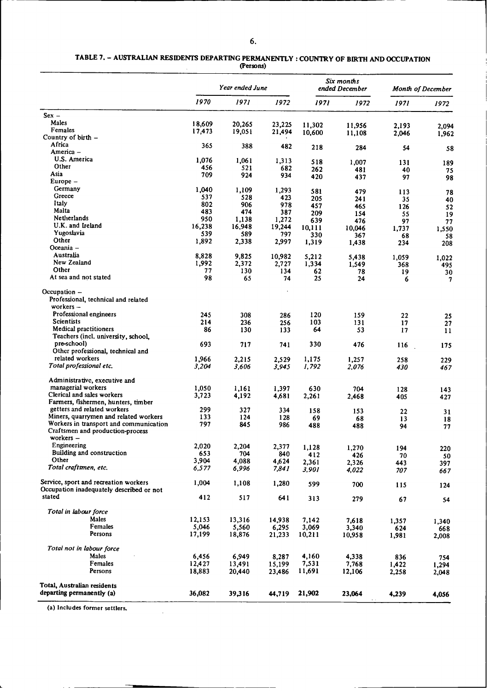#### **TABLE 7.** - **AUSTRALIAN RESIDENTS DEPARTING PERMANENTLY : COUNTRY OF BIRTH AND OCCUPATION (Persons)**

|                                          |        | Year ended June |           |              | Six months<br>ended December |       | <b>Month of December</b> |
|------------------------------------------|--------|-----------------|-----------|--------------|------------------------------|-------|--------------------------|
|                                          | 1970   | 1971            | 1972      | 1971         | 1972                         | 1971  | 1972                     |
| $Sex -$                                  |        |                 |           |              |                              |       |                          |
| Males                                    | 18,609 | 20,265          | 23,225    |              |                              |       |                          |
| Females                                  | 17,473 | 19,051          | 21,494    | 11,302       | 11,956                       | 2.193 | 2,094                    |
| Country of $birth -$                     |        |                 |           | 10,600       | 11,108                       | 2,046 | 1,962                    |
| Africa                                   | 365    | 388             | 482       |              |                              |       |                          |
| America -                                |        |                 |           | 218          | 284                          | 54    | 58                       |
| U.S. America                             | 1,076  | 1,061           | 1,313     | 518          |                              |       |                          |
| Other                                    | 456    | 521             | 682       | 262          | 1,007                        | 131   | 189                      |
| Asia                                     | 709    | 924             | 934       | 420          | 481                          | 40    | 75                       |
| $Europe -$                               |        |                 |           |              | 437                          | 97    | 98                       |
| Germany                                  | 1,040  | 1,109           | 1,293     | 581          |                              |       |                          |
| Greece                                   | 537    | 528             | 423       | 205          | 479                          | 113   | 78                       |
| Italy                                    | 802    | 906             | 978       | 457          | 241                          | 35    | 40                       |
| Malta                                    | 483    | 474             | 387       | 209          | 465                          | 126   | 52                       |
| <b>Netherlands</b>                       | 950    | 1,138           | 1,272     | 639          | 154                          | 55    | 19                       |
| U.K. and Ireland                         | 16,238 | 16,948          | 19,244    |              | 476                          | 97    | 77                       |
| Yugoslavia                               | 539    | 589             | 797       | 10,111       | 10,046                       | 1,737 | 1,550                    |
| Other                                    | 1,892  | 2,338           | 2,997     | 330<br>1,319 | 367                          | 68    | 58                       |
| Oceania -                                |        |                 |           |              | 1,438                        | 234   | 208                      |
| Australia                                | 8,828  | 9,825           |           |              |                              |       |                          |
| New Zealand                              | 1,992  |                 | 10,982    | 5,212        | 5,438                        | 1,059 | 1,022                    |
| Other                                    | 77     | 2,372<br>130    | 2,727     | 1,334        | 1,549                        | 368   | 495                      |
| At sea and not stated                    | 98     | 65              | 134<br>74 | 62<br>25     | 78                           | 19    | 30                       |
|                                          |        |                 |           |              | 24                           | 6     | 7                        |
| Occupation $-$                           |        |                 |           |              |                              |       |                          |
| Professional, technical and related      |        |                 |           |              |                              |       |                          |
| workers $-$                              |        |                 |           |              |                              |       |                          |
| Professional engineers                   | 245    | 308             | 286       | 120          | 159                          | 22    | 25                       |
| Scientists                               | 214    | 236             | 256       | 103          | 131                          | 17    | 27                       |
| <b>Medical practitioners</b>             | 86     | 130             | 133       | 64           | 53                           | 17    | 11                       |
| Teachers (incl. university, school,      |        |                 |           |              |                              |       |                          |
| pre-school)                              | 693    | 717             | 741       | 330          | 476                          | 116   | 175                      |
| Other professional, technical and        |        |                 |           |              |                              |       |                          |
| related workers                          | 1,966  | 2,215           | 2,529     | 1,175        | 1,257                        | 258   | 229                      |
| Total professional etc.                  | 3,204  | 3.606           | 3,945     | 1,792        | 2,076                        | 430   | 467                      |
|                                          |        |                 |           |              |                              |       |                          |
| Administrative, executive and            |        |                 |           |              |                              |       |                          |
| managerial workers                       | 1,050  | 1,161           | 1,397     | 630          | 704                          | 128   | 143                      |
| Clerical and sales workers               | 3,723  | 4,192           | 4,681     | 2,261        | 2,468                        | 405   | 427                      |
| Farmers, fishermen, hunters, timber      |        |                 |           |              |                              |       |                          |
| getters and related workers              | 299    | 327             | 334       | 158          | 153                          | 22    | 31                       |
| Miners, quarrymen and related workers    | 133    | 124             | 128       | 69           | 68                           | 13    | 18                       |
| Workers in transport and communication   | 797    | 845             | 986       | 488          | 488                          | 94    | 77                       |
| Craftsmen and production-process         |        |                 |           |              |                              |       |                          |
| workers $-$                              |        |                 |           |              |                              |       |                          |
| Engineering                              | 2,020  | 2,204           | 2,377     | 1,128        | 1,270                        | 194   | 220                      |
| Building and construction                | 653    | 704             | 840       | 412          | 426                          | 70    | 50                       |
| Other                                    | 3,904  | 4,088           | 4,624     | 2,361        | 2,326                        | 443   | 397                      |
| Total craftsmen, etc.                    | 6,577  | 6,996           | 7,841     | 3,901        | 4,022                        | 707   | 667                      |
| Service, sport and recreation workers    | 1,004  |                 |           |              |                              |       |                          |
| Occupation inadequately described or not |        | 1,108           | 1,280     | 599          | 700                          | 115   | 124                      |
| stated                                   |        |                 |           |              |                              |       |                          |
|                                          | 412    | 517             | 641       | 313          | 279                          | 67    | 54                       |
| Total in labour force                    |        |                 |           |              |                              |       |                          |
| Males                                    | 12,153 | 13,316          | 14,938    | 7,142        | 7,618                        | 1,357 |                          |
| Females                                  | 5,046  | 5,560           | 6,295     | 3,069        | 3,340                        | 624   | 1,340<br>668             |
| Persons                                  | 17,199 | 18,876          | 21,233    | 10,211       | 10,958                       | 1,981 | 2,008                    |
| Total not in labour force                |        |                 |           |              |                              |       |                          |
| Males                                    | 6,456  |                 |           | 4,160        |                              |       |                          |
|                                          |        | 6,949           | 8,287     |              | 4,338                        | 836   | 754                      |
| Females                                  | 12,427 | 13,491          | 15,199    | 7,531        | 7,768                        | 1,422 | 1,294                    |
| Persons                                  | 18,883 | 20,440          | 23,486    | 11,691       | 12,106                       | 2,258 | 2,048                    |
| Total, Australian residents              |        |                 |           |              |                              |       |                          |
| departing permanently (a)                | 36,082 | 39,316          | 44,719    | 21,902       | 23,064                       | 4,239 | 4,056                    |
|                                          |        |                 |           |              |                              |       |                          |

(a) Includes former settlers.

 $\ddot{\phantom{a}}$ 

**(a) Includes former settlers.**

 $\hat{\mathcal{L}}$  .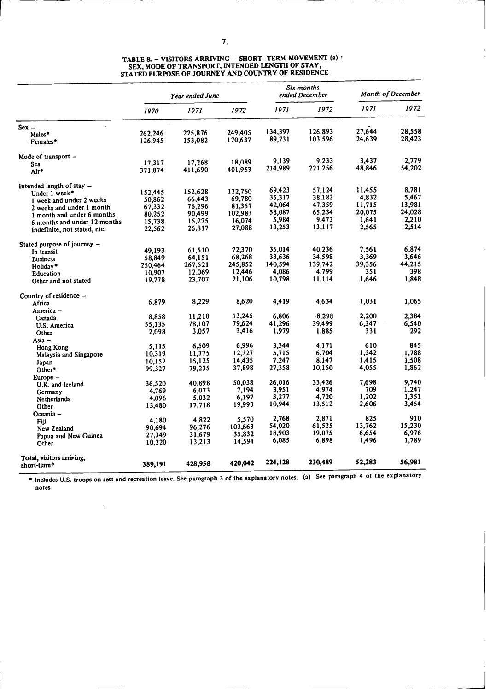|                               |         | Year ended June |         | Six months<br>ended December |          | Month of December |        |
|-------------------------------|---------|-----------------|---------|------------------------------|----------|-------------------|--------|
|                               | 1970    | 1971            | 1972    | 1971                         | 1972     | 1971              | 1972   |
| $Sex -$                       |         |                 |         |                              |          |                   |        |
| Males*                        | 262,246 | 275,876         | 249,405 | 134,397                      | 126,893  | 27.644            | 28.558 |
| Females*                      | 126,945 | 153,082         | 170,637 | 89,731                       | 103,596  | 24,639            | 28,423 |
| Mode of transport –           |         |                 |         |                              |          |                   | 2,779  |
| Sea                           | 17,317  | 17,268          | 18,089  | 9,139                        | 9,233    | 3,437             |        |
| Air*                          | 371,874 | 411,690         | 401,953 | 214,989                      | 221.256  | 48,846            | 54,202 |
| Intended length of stay $-$   |         |                 |         |                              |          |                   |        |
| Under 1 week*                 | 152,445 | 152,628         | 122,760 | 69,423                       | 57,124   | 11,455            | 8.781  |
| 1 week and under 2 weeks      | 50,862  | 66,443          | 69,780  | 35,317                       | 38,182   | 4,832             | 5.467  |
| 2 weeks and under 1 month     | 67,332  | 76,296          | 81,357  | 42.064                       | 47,359   | 11,715            | 13,981 |
| 1 month and under 6 months    | 80,252  | 90,499          | 102,983 | 58,087                       | 65,234   | 20,075            | 24,028 |
| 6 months and under 12 months  | 15,738  | 16,275          | 16,074  | 5,984                        | 9,473    | 1,641             | 2,210  |
| Indefinite, not stated, etc.  | 22,562  | 26,817          | 27,088  | 13,253                       | 13,117   | 2,565             | 2,514  |
| Stated purpose of journey $-$ |         |                 |         |                              |          |                   |        |
| In transit                    | 49,193  | 61,510          | 72,370  | 35,014                       | 40,236   | 7,561             | 6,874  |
| <b>Business</b>               | 58,849  | 64,151          | 68,268  | 33,636                       | 34,598   | 3,369             | 3,646  |
| Holiday*                      | 250,464 | 267,521         | 245,852 | 140,594                      | 139,742  | 39,356            | 44,215 |
| Education                     | 10,907  | 12,069          | 12,446  | 4,086                        | 4,799    | 351               | 398    |
| Other and not stated          | 19,778  | 23,707          | 21,106  | 10,798                       | 11,114   | 1.646             | 1,848  |
| Country of residence -        |         |                 |         |                              |          |                   |        |
| Africa                        | 6,879   | 8,229           | 8,620   | 4,419                        | 4,634    | 1,031             | 1,065  |
| America –                     |         |                 |         |                              |          |                   |        |
| Canada                        | 8,858   | 11,210          | 13,245  | 6,806                        | $-8,298$ | 2,200             | 2,384  |
| U.S. America                  | 55,135  | 78,107          | 79,624  | 41,296                       | 39,499   | 6,347             | 6,540  |
| Other                         | 2,098   | 3,057           | 3,416   | 1,979                        | 1,885    | 331               | 292    |
| Asia -                        | 5,115   | 6.509           | 6,996   | 3,344                        | 4,171    | 610               | 845    |
| Hong Kong                     | 10,319  | 11.775          | 12,727  | 5,715                        | 6,704    | 1.342             | 1.788  |
| Malaysia and Singapore        | 10,152  | 15,125          | 14,435  | 7,247                        | 8.147    | 1,415             | 1,508  |
| Japan                         | 99,327  | 79,235          | 37,898  | 27,358                       | 10,150   | 4,055             | 1,862  |
| Other*                        |         |                 |         |                              |          |                   |        |
| Europe –                      | 36,520  | 40,898          | 50,038  | 26,016                       | 33.426   | 7.698             | 9,740  |
| U.K. and Ireland              | 4,769   | 6,073           | 7.194   | 3,951                        | 4,974    | 709               | 1,247  |
| Germany<br><b>Netherlands</b> | 4,096   | 5,032           | 6.197   | 3,277                        | 4,720    | 1.202             | 1,351  |
| Other                         | 13,480  | 17,718          | 19,993  | 10,944                       | 13,512   | 2,606             | 3,454  |
| Oceania -                     |         |                 |         |                              |          |                   |        |
| Fiii                          | 4,180   | 4,822           | 5,570   | 2,768                        | 2,871    | 825               | 910    |
| New Zealand                   | 90,694  | 96,276          | 103,663 | 54,020                       | 61,525   | 13,762            | 15,230 |
| Papua and New Guinea          | 27,349  | 31,679          | 35,832  | 18,903                       | 19,075   | 6,654             | 6,976  |
| Other                         | 10,220  | 13,213          | 14,594  | 6,085                        | 6,898    | 1,496             | 1,789  |
| Total, visitors arriving,     |         |                 |         |                              |          |                   |        |
| short-term <sup>®</sup>       | 389,191 | 428,958         | 420,042 | 224,128                      | 230,489  | 52,283            | 56,981 |

#### **TABLE 8.** - **VISITORS ARRIVING - SHORT-TERM MOVEMENT** (a) **: SEX, MODE OF TRANSPORT, INTENDED LENGTH OF STAY,** STATED **PURPOSE OF JOURNEY AND COUNTRY OF RESIDENCE**

**\* Includes U.S. troops on rest and recreation leave. See paragraph** 3 **of the explanatory notes. (a) See paragraph** 4 **of the explanatory notes.**

l,

 $\overline{\phantom{0}}$ 

 $\left\lceil$